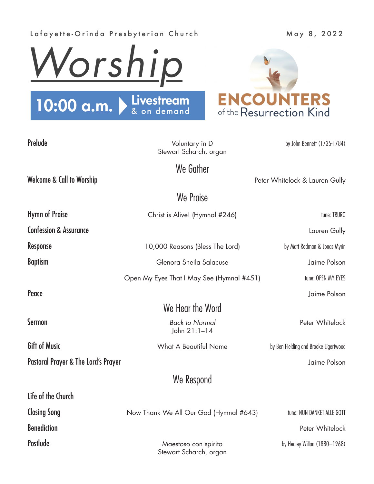## Lafayette-Orinda Presbyterian Church May 8, 2022





| Prelude                                        | Voluntary in D<br>Stewart Scharch, organ       | by John Bennett (1735-1784)           |
|------------------------------------------------|------------------------------------------------|---------------------------------------|
|                                                | We Gather                                      |                                       |
| <b>Welcome &amp; Call to Worship</b>           |                                                | Peter Whitelock & Lauren Gully        |
|                                                | We Praise                                      |                                       |
| <b>Hymn of Praise</b>                          | Christ is Alive! (Hymnal #246)                 | tune: TRURO                           |
| <b>Confession &amp; Assurance</b>              |                                                | Lauren Gully                          |
| <b>Response</b>                                | 10,000 Reasons (Bless The Lord)                | by Matt Redman & Jonas Myrin          |
| <b>Baptism</b>                                 | Glenora Sheila Salacuse                        | Jaime Polson                          |
|                                                | Open My Eyes That I May See (Hymnal #451)      | tune: OPEN MY EYES                    |
| Peace                                          |                                                | Jaime Polson                          |
|                                                | We Hear the Word                               |                                       |
| <b>Sermon</b>                                  | <b>Back to Normal</b><br>John 21:1-14          | Peter Whitelock                       |
| <b>Gift of Music</b>                           | <b>What A Beautiful Name</b>                   | by Ben Fielding and Brooke Ligertwood |
| <b>Pastoral Prayer &amp; The Lord's Prayer</b> |                                                | Jaime Polson                          |
|                                                | We Respond                                     |                                       |
| Life of the Church                             |                                                |                                       |
| <b>Closing Song</b>                            | Now Thank We All Our God (Hymnal #643)         | tune: NUN DANKET ALLE GOTT            |
| <b>Benediction</b>                             |                                                | Peter Whitelock                       |
| <b>Postlude</b>                                | Maestoso con spirito<br>Stewart Scharch, organ | by Healey Willan (1880-1968)          |